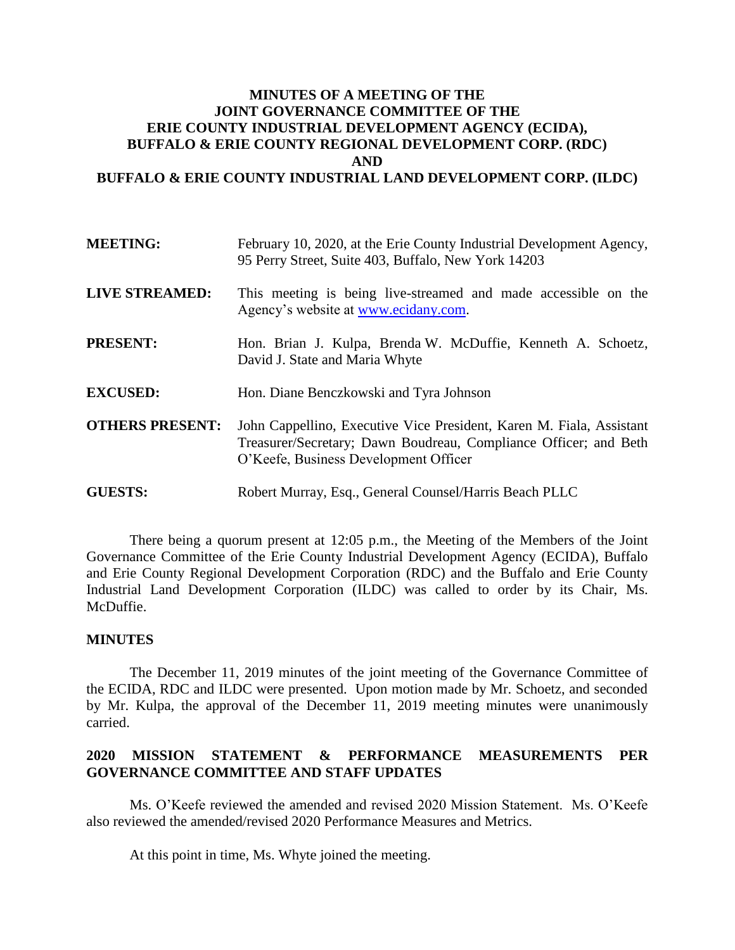## **MINUTES OF A MEETING OF THE JOINT GOVERNANCE COMMITTEE OF THE ERIE COUNTY INDUSTRIAL DEVELOPMENT AGENCY (ECIDA), BUFFALO & ERIE COUNTY REGIONAL DEVELOPMENT CORP. (RDC) AND BUFFALO & ERIE COUNTY INDUSTRIAL LAND DEVELOPMENT CORP. (ILDC)**

| <b>MEETING:</b>        | February 10, 2020, at the Erie County Industrial Development Agency,<br>95 Perry Street, Suite 403, Buffalo, New York 14203                                                       |
|------------------------|-----------------------------------------------------------------------------------------------------------------------------------------------------------------------------------|
| <b>LIVE STREAMED:</b>  | This meeting is being live-streamed and made accessible on the<br>Agency's website at www.ecidany.com.                                                                            |
| <b>PRESENT:</b>        | Hon. Brian J. Kulpa, Brenda W. McDuffie, Kenneth A. Schoetz,<br>David J. State and Maria Whyte                                                                                    |
| <b>EXCUSED:</b>        | Hon. Diane Benczkowski and Tyra Johnson                                                                                                                                           |
| <b>OTHERS PRESENT:</b> | John Cappellino, Executive Vice President, Karen M. Fiala, Assistant<br>Treasurer/Secretary; Dawn Boudreau, Compliance Officer; and Beth<br>O'Keefe, Business Development Officer |
| <b>GUESTS:</b>         | Robert Murray, Esq., General Counsel/Harris Beach PLLC                                                                                                                            |

There being a quorum present at 12:05 p.m., the Meeting of the Members of the Joint Governance Committee of the Erie County Industrial Development Agency (ECIDA), Buffalo and Erie County Regional Development Corporation (RDC) and the Buffalo and Erie County Industrial Land Development Corporation (ILDC) was called to order by its Chair, Ms. McDuffie.

## **MINUTES**

The December 11, 2019 minutes of the joint meeting of the Governance Committee of the ECIDA, RDC and ILDC were presented. Upon motion made by Mr. Schoetz, and seconded by Mr. Kulpa, the approval of the December 11, 2019 meeting minutes were unanimously carried.

## **2020 MISSION STATEMENT & PERFORMANCE MEASUREMENTS PER GOVERNANCE COMMITTEE AND STAFF UPDATES**

Ms. O'Keefe reviewed the amended and revised 2020 Mission Statement. Ms. O'Keefe also reviewed the amended/revised 2020 Performance Measures and Metrics.

At this point in time, Ms. Whyte joined the meeting.